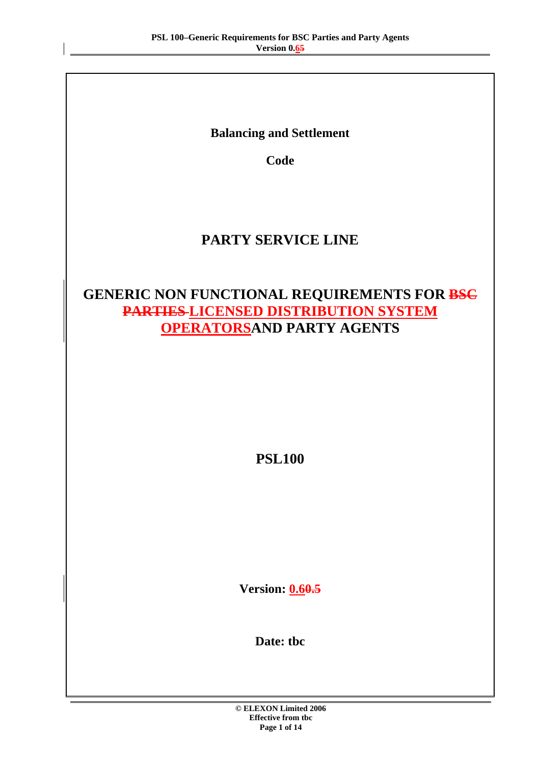**Balancing and Settlement** 

**Code** 

# **PARTY SERVICE LINE**

# **GENERIC NON FUNCTIONAL REQUIREMENTS FOR BSC PARTIES LICENSED DISTRIBUTION SYSTEM OPERATORSAND PARTY AGENTS**

**PSL100** 

**Version: 0.60.5** 

**Date: tbc**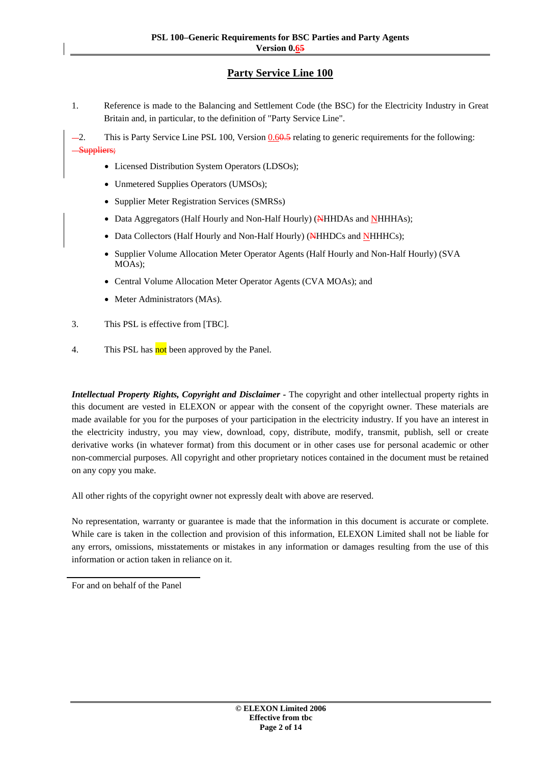## **Party Service Line 100**

- 1. Reference is made to the Balancing and Settlement Code (the BSC) for the Electricity Industry in Great Britain and, in particular, to the definition of "Party Service Line".
- -2. This is Party Service Line PSL 100, Version 0.60.5 relating to generic requirements for the following: Suppliers;
	- Licensed Distribution System Operators (LDSOs);
	- Unmetered Supplies Operators (UMSOs);
	- Supplier Meter Registration Services (SMRSs)
	- Data Aggregators (Half Hourly and Non-Half Hourly) (NHHDAs and NHHHAs);
	- Data Collectors (Half Hourly and Non-Half Hourly) (NHHDCs and NHHHCs);
	- Supplier Volume Allocation Meter Operator Agents (Half Hourly and Non-Half Hourly) (SVA MOAs);
	- Central Volume Allocation Meter Operator Agents (CVA MOAs); and
	- Meter Administrators (MAs).
- 3. This PSL is effective from [TBC].
- 4. This PSL has not been approved by the Panel.

*Intellectual Property Rights, Copyright and Disclaimer - The copyright and other intellectual property rights in* this document are vested in ELEXON or appear with the consent of the copyright owner. These materials are made available for you for the purposes of your participation in the electricity industry. If you have an interest in the electricity industry, you may view, download, copy, distribute, modify, transmit, publish, sell or create derivative works (in whatever format) from this document or in other cases use for personal academic or other non-commercial purposes. All copyright and other proprietary notices contained in the document must be retained on any copy you make.

All other rights of the copyright owner not expressly dealt with above are reserved.

No representation, warranty or guarantee is made that the information in this document is accurate or complete. While care is taken in the collection and provision of this information, ELEXON Limited shall not be liable for any errors, omissions, misstatements or mistakes in any information or damages resulting from the use of this information or action taken in reliance on it.

For and on behalf of the Panel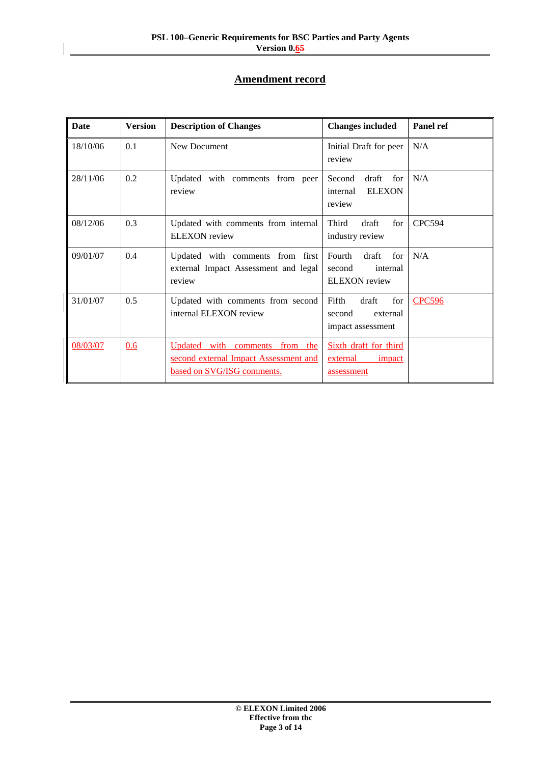## **Amendment record**

| <b>Date</b> | <b>Version</b> | <b>Description of Changes</b>                                                                         | <b>Changes included</b>                                              | Panel ref     |
|-------------|----------------|-------------------------------------------------------------------------------------------------------|----------------------------------------------------------------------|---------------|
| 18/10/06    | 0.1            | New Document                                                                                          | Initial Draft for peer<br>review                                     | N/A           |
| 28/11/06    | 0.2            | Updated with comments from peer<br>review                                                             | draft<br>Second<br>for<br><b>ELEXON</b><br>internal<br>review        | N/A           |
| 08/12/06    | 0.3            | Updated with comments from internal<br><b>ELEXON</b> review                                           | Third<br>draft<br>for<br>industry review                             | <b>CPC594</b> |
| 09/01/07    | 0.4            | Updated with comments from first<br>external Impact Assessment and legal<br>review                    | Fourth<br>draft<br>for<br>second<br>internal<br><b>ELEXON</b> review | N/A           |
| 31/01/07    | 0.5            | Updated with comments from second<br>internal ELEXON review                                           | Fifth<br>draft<br>for<br>second<br>external<br>impact assessment     | <b>CPC596</b> |
| 08/03/07    | 0.6            | Updated with comments from the<br>second external Impact Assessment and<br>based on SVG/ISG comments. | Sixth draft for third<br>external<br>impact<br>assessment            |               |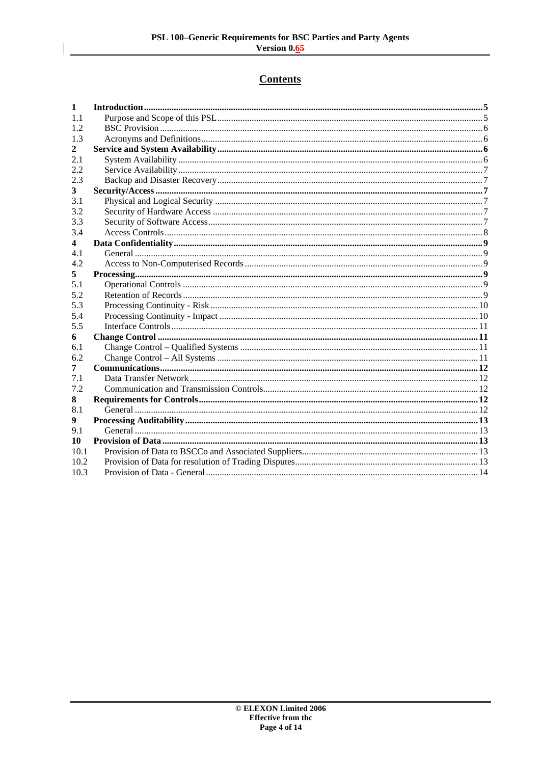# **Contents**

| 1    |  |
|------|--|
| 1.1  |  |
| 1.2  |  |
| 1.3  |  |
| 2    |  |
| 2.1  |  |
| 2.2  |  |
| 2.3  |  |
| 3    |  |
| 3.1  |  |
| 3.2  |  |
| 3.3  |  |
| 3.4  |  |
| 4    |  |
| 4.1  |  |
| 4.2  |  |
| 5    |  |
| 5.1  |  |
| 5.2  |  |
| 5.3  |  |
| 5.4  |  |
| 5.5  |  |
| 6    |  |
| 6.1  |  |
| 6.2  |  |
| 7    |  |
| 7.1  |  |
| 7.2  |  |
| 8    |  |
| 8.1  |  |
| 9    |  |
| 9.1  |  |
| 10   |  |
| 10.1 |  |
| 10.2 |  |
| 10.3 |  |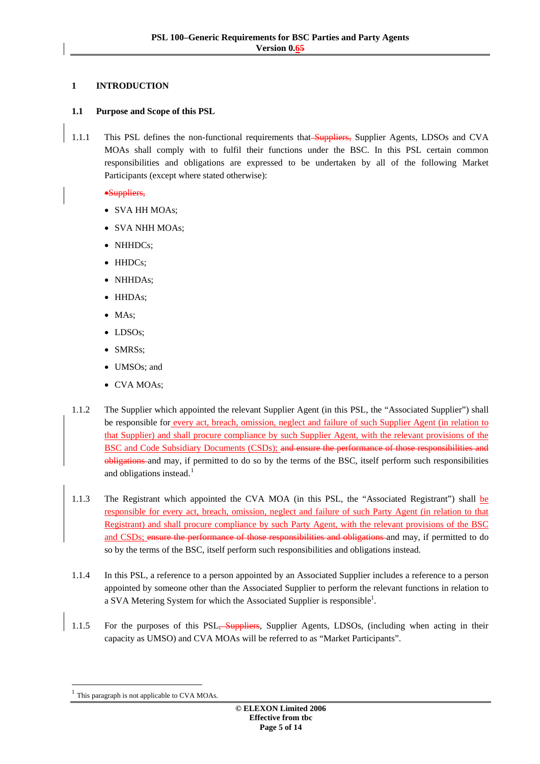## <span id="page-4-0"></span>**1 INTRODUCTION**

## **1.1 Purpose and Scope of this PSL**

1.1.1 This PSL defines the non-functional requirements that Suppliers, Supplier Agents, LDSOs and CVA MOAs shall comply with to fulfil their functions under the BSC. In this PSL certain common responsibilities and obligations are expressed to be undertaken by all of the following Market Participants (except where stated otherwise):

•Suppliers,

- SVA HH MOAs;
- SVA NHH MOAs;
- NHHDCs:
- HHDCs:
- NHHDAs;
- HHDAs;
- MAs:
- LDSOs;
- SMRSs;
- UMSOs; and
- CVA MOAs;
- 1.1.2 The Supplier which appointed the relevant Supplier Agent (in this PSL, the "Associated Supplier") shall be responsible for every act, breach, omission, neglect and failure of such Supplier Agent (in relation to that Supplier) and shall procure compliance by such Supplier Agent, with the relevant provisions of the BSC and Code Subsidiary Documents (CSDs); and ensure the performance of those responsibilities obligations and may, if permitted to do so by the terms of the BSC, itself perform such responsibilities and obligations instead.<sup>[1](#page-4-1)</sup>
- 1.1.3 The Registrant which appointed the CVA MOA (in this PSL, the "Associated Registrant") shall be responsible for every act, breach, omission, neglect and failure of such Party Agent (in relation to that Registrant) and shall procure compliance by such Party Agent, with the relevant provisions of the BSC and CSDs; ensure the performance of those responsibilities and obligations and may, if permitted to do so by the terms of the BSC, itself perform such responsibilities and obligations instead.
- 1.1.4 In this PSL, a reference to a person appointed by an Associated Supplier includes a reference to a person appointed by someone other than the Associated Supplier to perform the relevant functions in relation to a SVA Metering System for which the Associated Supplier is responsible<sup>1</sup>.
- 1.1.5 For the purposes of this PSL, Suppliers, Supplier Agents, LDSOs, (including when acting in their capacity as UMSO) and CVA MOAs will be referred to as "Market Participants".

-

<span id="page-4-1"></span>This paragraph is not applicable to CVA MOAs.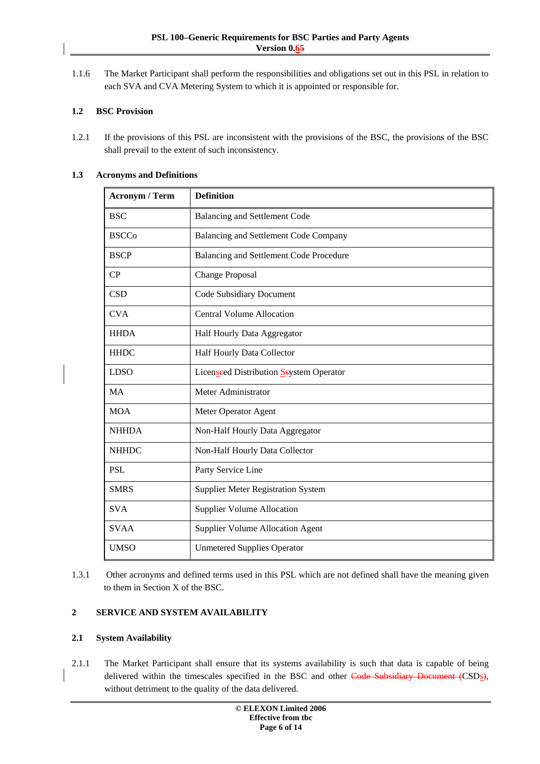<span id="page-5-0"></span>1.1.6 The Market Participant shall perform the responsibilities and obligations set out in this PSL in relation to each SVA and CVA Metering System to which it is appointed or responsible for.

## **1.2 BSC Provision**

1.2.1 If the provisions of this PSL are inconsistent with the provisions of the BSC, the provisions of the BSC shall prevail to the extent of such inconsistency.

| 1.3<br><b>Acronyms and Definitions</b> |  |
|----------------------------------------|--|
|----------------------------------------|--|

| <b>Acronym / Term</b> | <b>Definition</b>                         |
|-----------------------|-------------------------------------------|
|                       |                                           |
| <b>BSC</b>            | Balancing and Settlement Code             |
| <b>BSCCo</b>          | Balancing and Settlement Code Company     |
| <b>BSCP</b>           | Balancing and Settlement Code Procedure   |
| CP                    | <b>Change Proposal</b>                    |
| <b>CSD</b>            | Code Subsidiary Document                  |
| <b>CVA</b>            | <b>Central Volume Allocation</b>          |
| <b>HHDA</b>           | Half Hourly Data Aggregator               |
| <b>HHDC</b>           | Half Hourly Data Collector                |
| <b>LDSO</b>           | Licenseed Distribution Ssystem Operator   |
| <b>MA</b>             | Meter Administrator                       |
| <b>MOA</b>            | Meter Operator Agent                      |
| <b>NHHDA</b>          | Non-Half Hourly Data Aggregator           |
| <b>NHHDC</b>          | Non-Half Hourly Data Collector            |
| <b>PSL</b>            | Party Service Line                        |
| <b>SMRS</b>           | <b>Supplier Meter Registration System</b> |
| <b>SVA</b>            | <b>Supplier Volume Allocation</b>         |
| <b>SVAA</b>           | <b>Supplier Volume Allocation Agent</b>   |
| <b>UMSO</b>           | <b>Unmetered Supplies Operator</b>        |

1.3.1 Other acronyms and defined terms used in this PSL which are not defined shall have the meaning given to them in Section X of the BSC.

## **2 SERVICE AND SYSTEM AVAILABILITY**

#### **2.1 System Availability**

2.1.1 The Market Participant shall ensure that its systems availability is such that data is capable of being delivered within the timescales specified in the BSC and other Code Subsidiary Document (CSDs), without detriment to the quality of the data delivered.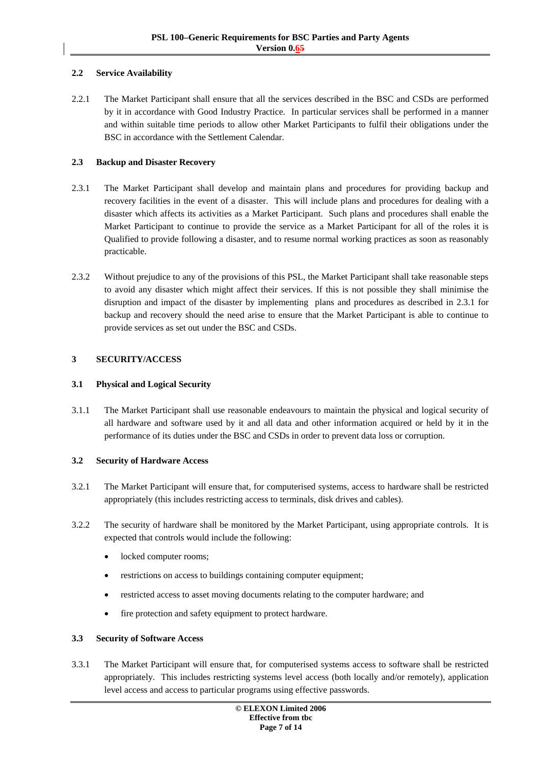## <span id="page-6-0"></span>**2.2 Service Availability**

2.2.1 The Market Participant shall ensure that all the services described in the BSC and CSDs are performed by it in accordance with Good Industry Practice. In particular services shall be performed in a manner and within suitable time periods to allow other Market Participants to fulfil their obligations under the BSC in accordance with the Settlement Calendar.

#### **2.3 Backup and Disaster Recovery**

- 2.3.1 The Market Participant shall develop and maintain plans and procedures for providing backup and recovery facilities in the event of a disaster. This will include plans and procedures for dealing with a disaster which affects its activities as a Market Participant. Such plans and procedures shall enable the Market Participant to continue to provide the service as a Market Participant for all of the roles it is Qualified to provide following a disaster, and to resume normal working practices as soon as reasonably practicable.
- 2.3.2 Without prejudice to any of the provisions of this PSL, the Market Participant shall take reasonable steps to avoid any disaster which might affect their services. If this is not possible they shall minimise the disruption and impact of the disaster by implementing plans and procedures as described in 2.3.1 for backup and recovery should the need arise to ensure that the Market Participant is able to continue to provide services as set out under the BSC and CSDs.

## **3 SECURITY/ACCESS**

#### **3.1 Physical and Logical Security**

3.1.1 The Market Participant shall use reasonable endeavours to maintain the physical and logical security of all hardware and software used by it and all data and other information acquired or held by it in the performance of its duties under the BSC and CSDs in order to prevent data loss or corruption.

#### **3.2 Security of Hardware Access**

- 3.2.1 The Market Participant will ensure that, for computerised systems, access to hardware shall be restricted appropriately (this includes restricting access to terminals, disk drives and cables).
- 3.2.2 The security of hardware shall be monitored by the Market Participant, using appropriate controls. It is expected that controls would include the following:
	- locked computer rooms;
	- restrictions on access to buildings containing computer equipment;
	- restricted access to asset moving documents relating to the computer hardware; and
	- fire protection and safety equipment to protect hardware.

#### **3.3 Security of Software Access**

3.3.1 The Market Participant will ensure that, for computerised systems access to software shall be restricted appropriately. This includes restricting systems level access (both locally and/or remotely), application level access and access to particular programs using effective passwords.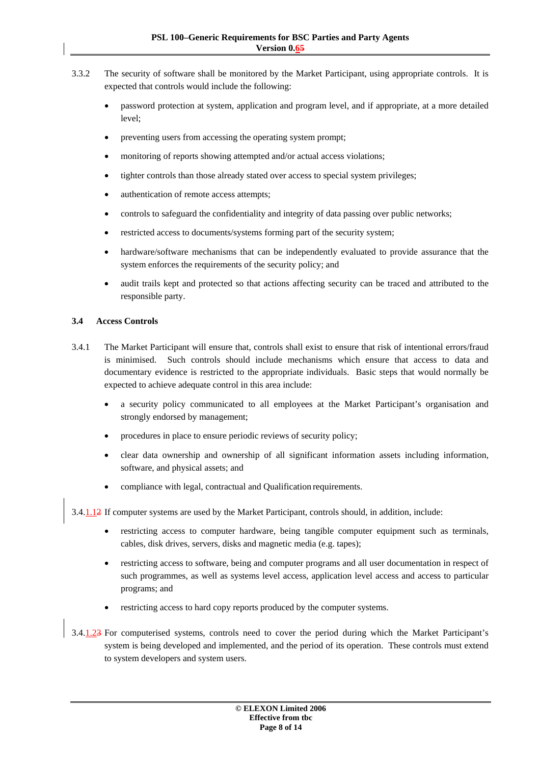- <span id="page-7-0"></span>3.3.2 The security of software shall be monitored by the Market Participant, using appropriate controls. It is expected that controls would include the following:
	- password protection at system, application and program level, and if appropriate, at a more detailed level;
	- preventing users from accessing the operating system prompt;
	- monitoring of reports showing attempted and/or actual access violations;
	- tighter controls than those already stated over access to special system privileges;
	- authentication of remote access attempts:
	- controls to safeguard the confidentiality and integrity of data passing over public networks;
	- restricted access to documents/systems forming part of the security system;
	- hardware/software mechanisms that can be independently evaluated to provide assurance that the system enforces the requirements of the security policy; and
	- audit trails kept and protected so that actions affecting security can be traced and attributed to the responsible party.

## **3.4 Access Controls**

- 3.4.1 The Market Participant will ensure that, controls shall exist to ensure that risk of intentional errors/fraud is minimised. Such controls should include mechanisms which ensure that access to data and documentary evidence is restricted to the appropriate individuals. Basic steps that would normally be expected to achieve adequate control in this area include:
	- a security policy communicated to all employees at the Market Participant's organisation and strongly endorsed by management;
	- procedures in place to ensure periodic reviews of security policy;
	- clear data ownership and ownership of all significant information assets including information, software, and physical assets; and
	- compliance with legal, contractual and Qualification requirements.

3.4.1.12 If computer systems are used by the Market Participant, controls should, in addition, include:

- restricting access to computer hardware, being tangible computer equipment such as terminals, cables, disk drives, servers, disks and magnetic media (e.g. tapes);
- restricting access to software, being and computer programs and all user documentation in respect of such programmes, as well as systems level access, application level access and access to particular programs; and
- restricting access to hard copy reports produced by the computer systems.
- 3.4.1.23 For computerised systems, controls need to cover the period during which the Market Participant's system is being developed and implemented, and the period of its operation. These controls must extend to system developers and system users.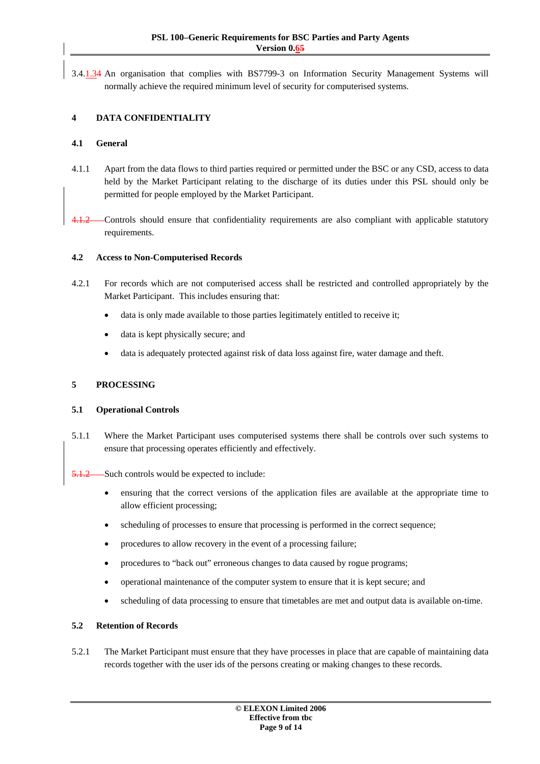<span id="page-8-0"></span>3.4.1.34 An organisation that complies with BS7799-3 on Information Security Management Systems will normally achieve the required minimum level of security for computerised systems.

## **4 DATA CONFIDENTIALITY**

#### **4.1 General**

- 4.1.1 Apart from the data flows to third parties required or permitted under the BSC or any CSD, access to data held by the Market Participant relating to the discharge of its duties under this PSL should only be permitted for people employed by the Market Participant.
- 4.1.2 Controls should ensure that confidentiality requirements are also compliant with applicable statutory requirements.

#### **4.2 Access to Non-Computerised Records**

- 4.2.1 For records which are not computerised access shall be restricted and controlled appropriately by the Market Participant. This includes ensuring that:
	- data is only made available to those parties legitimately entitled to receive it;
	- data is kept physically secure; and
	- data is adequately protected against risk of data loss against fire, water damage and theft.

### **5 PROCESSING**

#### **5.1 Operational Controls**

5.1.1 Where the Market Participant uses computerised systems there shall be controls over such systems to ensure that processing operates efficiently and effectively.

Such controls would be expected to include:

- ensuring that the correct versions of the application files are available at the appropriate time to allow efficient processing;
- scheduling of processes to ensure that processing is performed in the correct sequence;
- procedures to allow recovery in the event of a processing failure;
- procedures to "back out" erroneous changes to data caused by rogue programs;
- operational maintenance of the computer system to ensure that it is kept secure; and
- scheduling of data processing to ensure that timetables are met and output data is available on-time.

#### **5.2 Retention of Records**

5.2.1 The Market Participant must ensure that they have processes in place that are capable of maintaining data records together with the user ids of the persons creating or making changes to these records.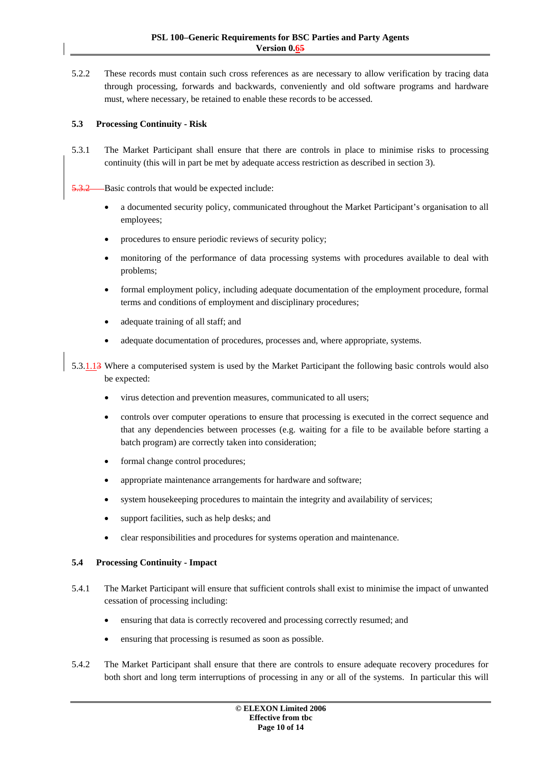<span id="page-9-0"></span>5.2.2 These records must contain such cross references as are necessary to allow verification by tracing data through processing, forwards and backwards, conveniently and old software programs and hardware must, where necessary, be retained to enable these records to be accessed.

## **5.3 Processing Continuity - Risk**

5.3.1 The Market Participant shall ensure that there are controls in place to minimise risks to processing continuity (this will in part be met by adequate access restriction as described in section [3\)](#page-6-0).

Basic controls that would be expected include:

- a documented security policy, communicated throughout the Market Participant's organisation to all employees;
- procedures to ensure periodic reviews of security policy;
- monitoring of the performance of data processing systems with procedures available to deal with problems;
- formal employment policy, including adequate documentation of the employment procedure, formal terms and conditions of employment and disciplinary procedures;
- adequate training of all staff; and
- adequate documentation of procedures, processes and, where appropriate, systems.

5.3.1.13 Where a computerised system is used by the Market Participant the following basic controls would also be expected:

- virus detection and prevention measures, communicated to all users;
- controls over computer operations to ensure that processing is executed in the correct sequence and that any dependencies between processes (e.g. waiting for a file to be available before starting a batch program) are correctly taken into consideration;
- formal change control procedures;
- appropriate maintenance arrangements for hardware and software;
- system housekeeping procedures to maintain the integrity and availability of services;
- support facilities, such as help desks; and
- clear responsibilities and procedures for systems operation and maintenance.

## **5.4 Processing Continuity - Impact**

- 5.4.1 The Market Participant will ensure that sufficient controls shall exist to minimise the impact of unwanted cessation of processing including:
	- ensuring that data is correctly recovered and processing correctly resumed; and
	- ensuring that processing is resumed as soon as possible.
- 5.4.2 The Market Participant shall ensure that there are controls to ensure adequate recovery procedures for both short and long term interruptions of processing in any or all of the systems. In particular this will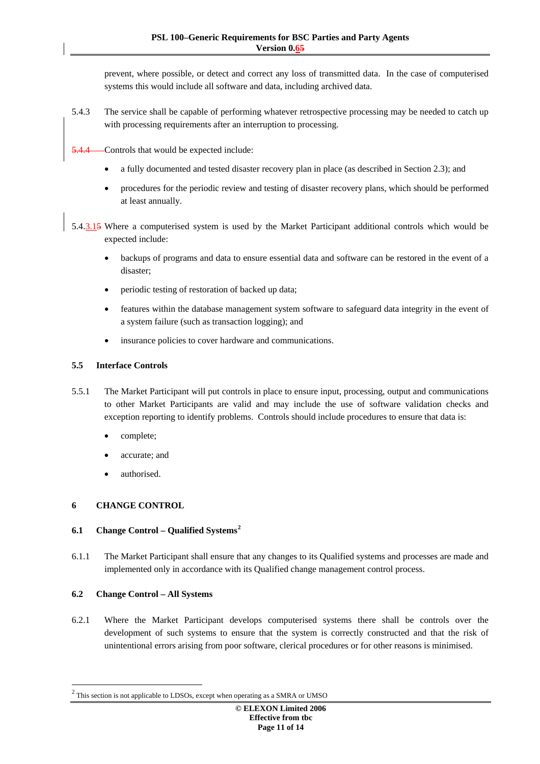<span id="page-10-0"></span>prevent, where possible, or detect and correct any loss of transmitted data. In the case of computerised systems this would include all software and data, including archived data.

5.4.3 The service shall be capable of performing whatever retrospective processing may be needed to catch up with processing requirements after an interruption to processing.

Controls that would be expected include:

- a fully documented and tested disaster recovery plan in place (as described in Section 2.3); and
- procedures for the periodic review and testing of disaster recovery plans, which should be performed at least annually.
- 5.4.3.15 Where a computerised system is used by the Market Participant additional controls which would be expected include:
	- backups of programs and data to ensure essential data and software can be restored in the event of a disaster;
	- periodic testing of restoration of backed up data;
	- features within the database management system software to safeguard data integrity in the event of a system failure (such as transaction logging); and
	- insurance policies to cover hardware and communications.

## **5.5 Interface Controls**

- 5.5.1 The Market Participant will put controls in place to ensure input, processing, output and communications to other Market Participants are valid and may include the use of software validation checks and exception reporting to identify problems. Controls should include procedures to ensure that data is:
	- complete;
	- accurate; and
	- authorised.

## **6 CHANGE CONTROL**

## **6.1 Change Control – Qualified Systems[2](#page-10-1)**

6.1.1 The Market Participant shall ensure that any changes to its Qualified systems and processes are made and implemented only in accordance with its Qualified change management control process.

## **6.2 Change Control – All Systems**

-

6.2.1 Where the Market Participant develops computerised systems there shall be controls over the development of such systems to ensure that the system is correctly constructed and that the risk of unintentional errors arising from poor software, clerical procedures or for other reasons is minimised.

<span id="page-10-1"></span> $2$  This section is not applicable to LDSOs, except when operating as a SMRA or UMSO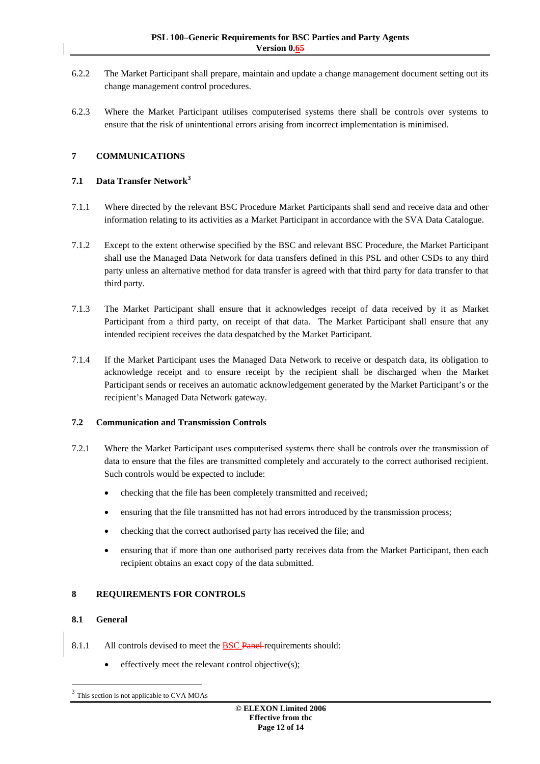- <span id="page-11-0"></span>6.2.2 The Market Participant shall prepare, maintain and update a change management document setting out its change management control procedures.
- 6.2.3 Where the Market Participant utilises computerised systems there shall be controls over systems to ensure that the risk of unintentional errors arising from incorrect implementation is minimised.

## **7 COMMUNICATIONS**

## **7.1 Data Transfer Network[3](#page-11-1)**

- 7.1.1 Where directed by the relevant BSC Procedure Market Participants shall send and receive data and other information relating to its activities as a Market Participant in accordance with the SVA Data Catalogue.
- 7.1.2 Except to the extent otherwise specified by the BSC and relevant BSC Procedure, the Market Participant shall use the Managed Data Network for data transfers defined in this PSL and other CSDs to any third party unless an alternative method for data transfer is agreed with that third party for data transfer to that third party.
- 7.1.3 The Market Participant shall ensure that it acknowledges receipt of data received by it as Market Participant from a third party, on receipt of that data. The Market Participant shall ensure that any intended recipient receives the data despatched by the Market Participant.
- 7.1.4 If the Market Participant uses the Managed Data Network to receive or despatch data, its obligation to acknowledge receipt and to ensure receipt by the recipient shall be discharged when the Market Participant sends or receives an automatic acknowledgement generated by the Market Participant's or the recipient's Managed Data Network gateway.

## **7.2 Communication and Transmission Controls**

- 7.2.1 Where the Market Participant uses computerised systems there shall be controls over the transmission of data to ensure that the files are transmitted completely and accurately to the correct authorised recipient. Such controls would be expected to include:
	- checking that the file has been completely transmitted and received;
	- ensuring that the file transmitted has not had errors introduced by the transmission process;
	- checking that the correct authorised party has received the file; and
	- ensuring that if more than one authorised party receives data from the Market Participant, then each recipient obtains an exact copy of the data submitted.

## **8 REQUIREMENTS FOR CONTROLS**

## **8.1 General**

-

- 8.1.1 All controls devised to meet the BSC Panel requirements should:
	- effectively meet the relevant control objective(s):

<span id="page-11-1"></span>This section is not applicable to CVA MOAs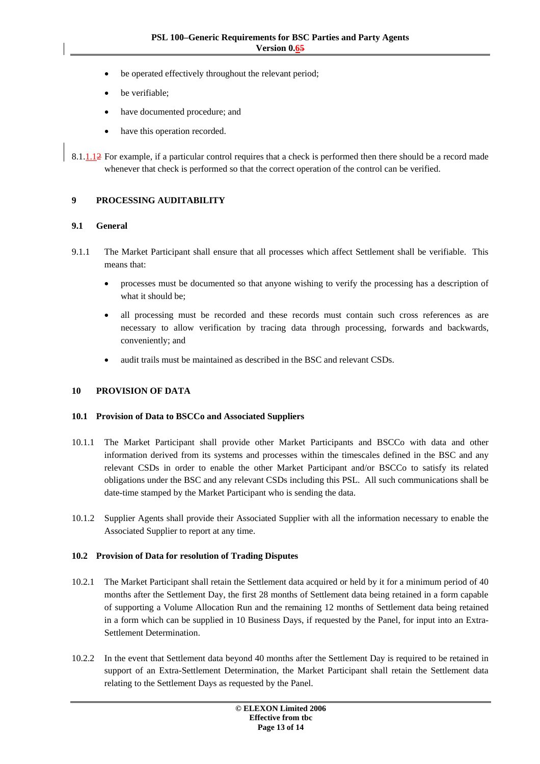- <span id="page-12-0"></span>be operated effectively throughout the relevant period;
- be verifiable;
- have documented procedure; and
- have this operation recorded.

8.1.1.12 For example, if a particular control requires that a check is performed then there should be a record made whenever that check is performed so that the correct operation of the control can be verified.

## **9 PROCESSING AUDITABILITY**

#### **9.1 General**

- 9.1.1 The Market Participant shall ensure that all processes which affect Settlement shall be verifiable. This means that:
	- processes must be documented so that anyone wishing to verify the processing has a description of what it should be;
	- all processing must be recorded and these records must contain such cross references as are necessary to allow verification by tracing data through processing, forwards and backwards, conveniently; and
	- audit trails must be maintained as described in the BSC and relevant CSDs.

## **10 PROVISION OF DATA**

#### **10.1 Provision of Data to BSCCo and Associated Suppliers**

- 10.1.1 The Market Participant shall provide other Market Participants and BSCCo with data and other information derived from its systems and processes within the timescales defined in the BSC and any relevant CSDs in order to enable the other Market Participant and/or BSCCo to satisfy its related obligations under the BSC and any relevant CSDs including this PSL. All such communications shall be date-time stamped by the Market Participant who is sending the data.
- 10.1.2 Supplier Agents shall provide their Associated Supplier with all the information necessary to enable the Associated Supplier to report at any time.

#### **10.2 Provision of Data for resolution of Trading Disputes**

- 10.2.1 The Market Participant shall retain the Settlement data acquired or held by it for a minimum period of 40 months after the Settlement Day, the first 28 months of Settlement data being retained in a form capable of supporting a Volume Allocation Run and the remaining 12 months of Settlement data being retained in a form which can be supplied in 10 Business Days, if requested by the Panel, for input into an Extra-Settlement Determination.
- 10.2.2 In the event that Settlement data beyond 40 months after the Settlement Day is required to be retained in support of an Extra-Settlement Determination, the Market Participant shall retain the Settlement data relating to the Settlement Days as requested by the Panel.